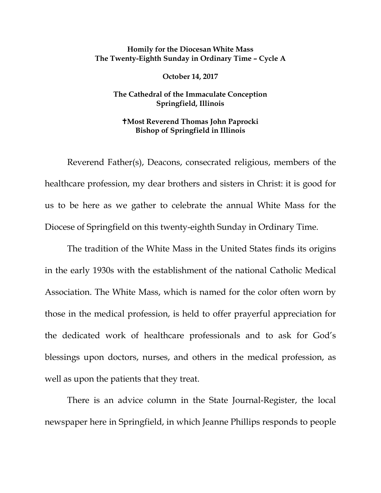## **Homily for the Diocesan White Mass The Twenty-Eighth Sunday in Ordinary Time – Cycle A**

**October 14, 2017**

## **The Cathedral of the Immaculate Conception Springfield, Illinois**

## **Most Reverend Thomas John Paprocki Bishop of Springfield in Illinois**

Reverend Father(s), Deacons, consecrated religious, members of the healthcare profession, my dear brothers and sisters in Christ: it is good for us to be here as we gather to celebrate the annual White Mass for the Diocese of Springfield on this twenty-eighth Sunday in Ordinary Time.

The tradition of the White Mass in the United States finds its origins in the early 1930s with the establishment of the national Catholic Medical Association. The White Mass, which is named for the color often worn by those in the medical profession, is held to offer prayerful appreciation for the dedicated work of healthcare professionals and to ask for God's blessings upon doctors, nurses, and others in the medical profession, as well as upon the patients that they treat.

There is an advice column in the State Journal-Register, the local newspaper here in Springfield, in which Jeanne Phillips responds to people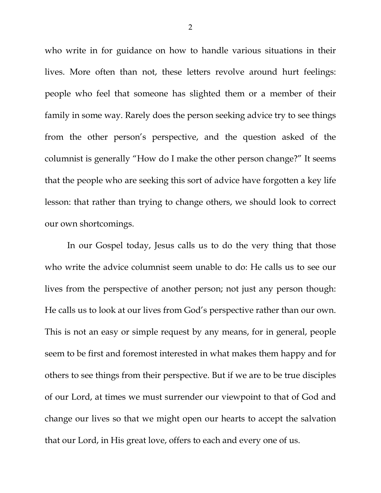who write in for guidance on how to handle various situations in their lives. More often than not, these letters revolve around hurt feelings: people who feel that someone has slighted them or a member of their family in some way. Rarely does the person seeking advice try to see things from the other person's perspective, and the question asked of the columnist is generally "How do I make the other person change?" It seems that the people who are seeking this sort of advice have forgotten a key life lesson: that rather than trying to change others, we should look to correct our own shortcomings.

In our Gospel today, Jesus calls us to do the very thing that those who write the advice columnist seem unable to do: He calls us to see our lives from the perspective of another person; not just any person though: He calls us to look at our lives from God's perspective rather than our own. This is not an easy or simple request by any means, for in general, people seem to be first and foremost interested in what makes them happy and for others to see things from their perspective. But if we are to be true disciples of our Lord, at times we must surrender our viewpoint to that of God and change our lives so that we might open our hearts to accept the salvation that our Lord, in His great love, offers to each and every one of us.

2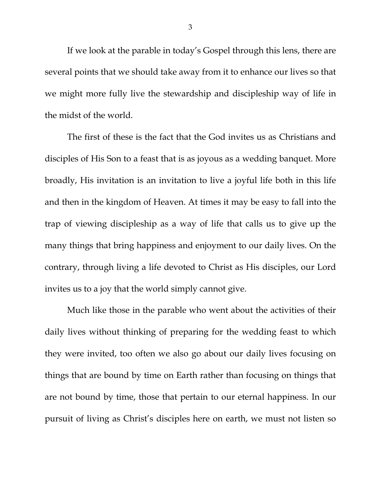If we look at the parable in today's Gospel through this lens, there are several points that we should take away from it to enhance our lives so that we might more fully live the stewardship and discipleship way of life in the midst of the world.

The first of these is the fact that the God invites us as Christians and disciples of His Son to a feast that is as joyous as a wedding banquet. More broadly, His invitation is an invitation to live a joyful life both in this life and then in the kingdom of Heaven. At times it may be easy to fall into the trap of viewing discipleship as a way of life that calls us to give up the many things that bring happiness and enjoyment to our daily lives. On the contrary, through living a life devoted to Christ as His disciples, our Lord invites us to a joy that the world simply cannot give.

Much like those in the parable who went about the activities of their daily lives without thinking of preparing for the wedding feast to which they were invited, too often we also go about our daily lives focusing on things that are bound by time on Earth rather than focusing on things that are not bound by time, those that pertain to our eternal happiness. In our pursuit of living as Christ's disciples here on earth, we must not listen so

3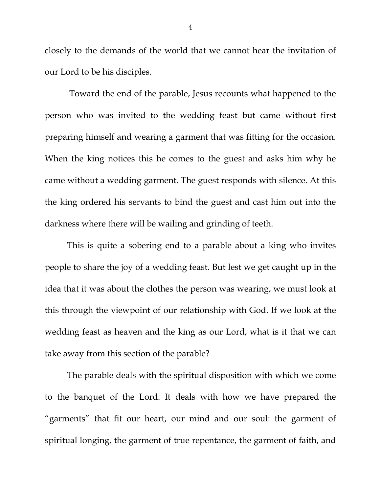closely to the demands of the world that we cannot hear the invitation of our Lord to be his disciples.

Toward the end of the parable, Jesus recounts what happened to the person who was invited to the wedding feast but came without first preparing himself and wearing a garment that was fitting for the occasion. When the king notices this he comes to the guest and asks him why he came without a wedding garment. The guest responds with silence. At this the king ordered his servants to bind the guest and cast him out into the darkness where there will be wailing and grinding of teeth.

This is quite a sobering end to a parable about a king who invites people to share the joy of a wedding feast. But lest we get caught up in the idea that it was about the clothes the person was wearing, we must look at this through the viewpoint of our relationship with God. If we look at the wedding feast as heaven and the king as our Lord, what is it that we can take away from this section of the parable?

The parable deals with the spiritual disposition with which we come to the banquet of the Lord. It deals with how we have prepared the "garments" that fit our heart, our mind and our soul: the garment of spiritual longing, the garment of true repentance, the garment of faith, and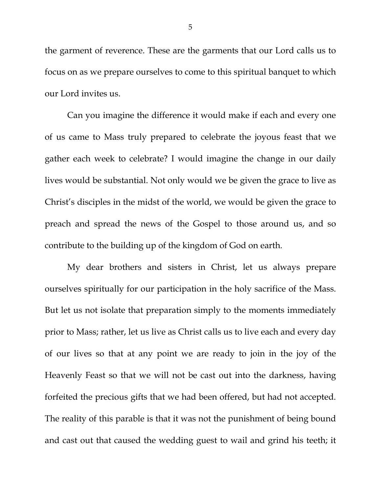the garment of reverence. These are the garments that our Lord calls us to focus on as we prepare ourselves to come to this spiritual banquet to which our Lord invites us.

Can you imagine the difference it would make if each and every one of us came to Mass truly prepared to celebrate the joyous feast that we gather each week to celebrate? I would imagine the change in our daily lives would be substantial. Not only would we be given the grace to live as Christ's disciples in the midst of the world, we would be given the grace to preach and spread the news of the Gospel to those around us, and so contribute to the building up of the kingdom of God on earth.

My dear brothers and sisters in Christ, let us always prepare ourselves spiritually for our participation in the holy sacrifice of the Mass. But let us not isolate that preparation simply to the moments immediately prior to Mass; rather, let us live as Christ calls us to live each and every day of our lives so that at any point we are ready to join in the joy of the Heavenly Feast so that we will not be cast out into the darkness, having forfeited the precious gifts that we had been offered, but had not accepted. The reality of this parable is that it was not the punishment of being bound and cast out that caused the wedding guest to wail and grind his teeth; it